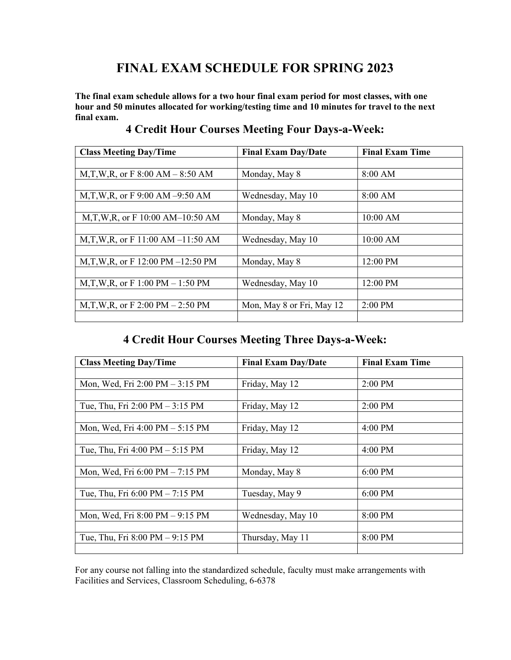# FINAL EXAM SCHEDULE FOR SPRING 2023

The final exam schedule allows for a two hour final exam period for most classes, with one hour and 50 minutes allocated for working/testing time and 10 minutes for travel to the next final exam.

| <b>Class Meeting Day/Time</b>        | <b>Final Exam Day/Date</b> | <b>Final Exam Time</b> |
|--------------------------------------|----------------------------|------------------------|
|                                      |                            |                        |
| M,T,W,R, or F 8:00 AM $-$ 8:50 AM    | Monday, May 8              | 8:00 AM                |
|                                      |                            |                        |
| M,T,W,R, or F $9:00$ AM $-9:50$ AM   | Wednesday, May 10          | 8:00 AM                |
|                                      |                            |                        |
| M,T,W,R, or F $10:00$ AM- $10:50$ AM | Monday, May 8              | 10:00 AM               |
|                                      |                            |                        |
| M,T,W,R, or F 11:00 AM $-11:50$ AM   | Wednesday, May 10          | 10:00 AM               |
|                                      |                            |                        |
| M,T,W,R, or F 12:00 PM $-12:50$ PM   | Monday, May 8              | 12:00 PM               |
|                                      |                            |                        |
| M,T,W,R, or F 1:00 PM $-$ 1:50 PM    | Wednesday, May 10          | 12:00 PM               |
|                                      |                            |                        |
| M,T,W,R, or F 2:00 PM $-$ 2:50 PM    | Mon, May 8 or Fri, May 12  | $2:00$ PM              |
|                                      |                            |                        |

#### 4 Credit Hour Courses Meeting Four Days-a-Week:

### 4 Credit Hour Courses Meeting Three Days-a-Week:

| <b>Class Meeting Day/Time</b>                     | <b>Final Exam Day/Date</b> | <b>Final Exam Time</b> |
|---------------------------------------------------|----------------------------|------------------------|
|                                                   |                            |                        |
| Mon, Wed, Fri $2:00 \text{ PM} - 3:15 \text{ PM}$ | Friday, May 12             | 2:00 PM                |
|                                                   |                            |                        |
| Tue, Thu, Fri 2:00 PM $-$ 3:15 PM                 | Friday, May 12             | 2:00 PM                |
|                                                   |                            |                        |
| Mon, Wed, Fri 4:00 PM - 5:15 PM                   | Friday, May 12             | 4:00 PM                |
|                                                   |                            |                        |
| Tue, Thu, Fri $4:00 \text{ PM} - 5:15 \text{ PM}$ | Friday, May 12             | $4:00$ PM              |
|                                                   |                            |                        |
| Mon, Wed, Fri 6:00 PM - 7:15 PM                   | Monday, May 8              | 6:00 PM                |
|                                                   |                            |                        |
| Tue, Thu, Fri $6:00 \text{ PM} - 7:15 \text{ PM}$ | Tuesday, May 9             | $6:00$ PM              |
|                                                   |                            |                        |
| Mon, Wed, Fri $8:00 \text{ PM} - 9:15 \text{ PM}$ | Wednesday, May 10          | 8:00 PM                |
|                                                   |                            |                        |
| Tue, Thu, Fri $8:00 \text{ PM} - 9:15 \text{ PM}$ | Thursday, May 11           | 8:00 PM                |
|                                                   |                            |                        |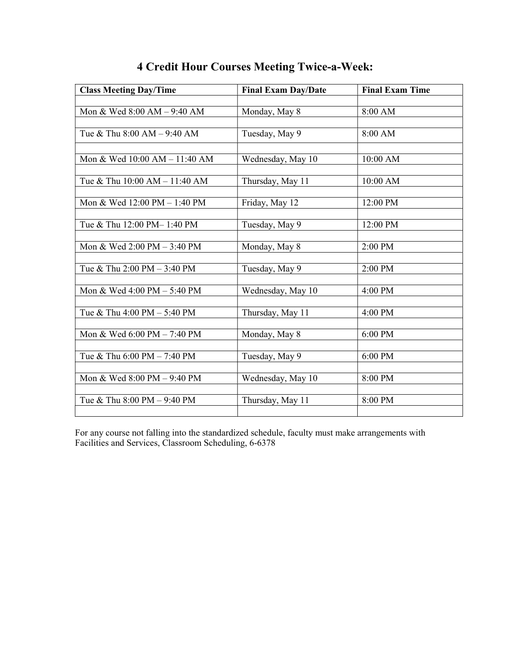| <b>Class Meeting Day/Time</b> | <b>Final Exam Day/Date</b> | <b>Final Exam Time</b> |  |
|-------------------------------|----------------------------|------------------------|--|
|                               |                            |                        |  |
| Mon & Wed 8:00 AM - 9:40 AM   | Monday, May 8              | 8:00 AM                |  |
|                               |                            |                        |  |
| Tue & Thu 8:00 AM - 9:40 AM   | Tuesday, May 9             | 8:00 AM                |  |
|                               |                            |                        |  |
| Mon & Wed 10:00 AM - 11:40 AM | Wednesday, May 10          | 10:00 AM               |  |
|                               |                            |                        |  |
| Tue & Thu 10:00 AM - 11:40 AM | Thursday, May 11           | 10:00 AM               |  |
|                               |                            |                        |  |
| Mon & Wed 12:00 PM - 1:40 PM  | Friday, May 12             | 12:00 PM               |  |
| Tue & Thu 12:00 PM-1:40 PM    | Tuesday, May 9             | 12:00 PM               |  |
|                               |                            |                        |  |
| Mon & Wed 2:00 PM - 3:40 PM   | Monday, May 8              | 2:00 PM                |  |
|                               |                            |                        |  |
| Tue & Thu 2:00 PM - 3:40 PM   | Tuesday, May 9             | 2:00 PM                |  |
|                               |                            |                        |  |
| Mon & Wed 4:00 PM - 5:40 PM   | Wednesday, May 10          | 4:00 PM                |  |
|                               |                            |                        |  |
| Tue & Thu 4:00 PM - 5:40 PM   | Thursday, May 11           | 4:00 PM                |  |
|                               |                            |                        |  |
| Mon & Wed 6:00 PM - 7:40 PM   | Monday, May 8              | 6:00 PM                |  |
| Tue & Thu 6:00 PM - 7:40 PM   | Tuesday, May 9             | 6:00 PM                |  |
|                               |                            |                        |  |
| Mon & Wed 8:00 PM - 9:40 PM   | Wednesday, May 10          | 8:00 PM                |  |
|                               |                            |                        |  |
| Tue & Thu 8:00 PM - 9:40 PM   | Thursday, May 11           | 8:00 PM                |  |
|                               |                            |                        |  |

# 4 Credit Hour Courses Meeting Twice-a-Week: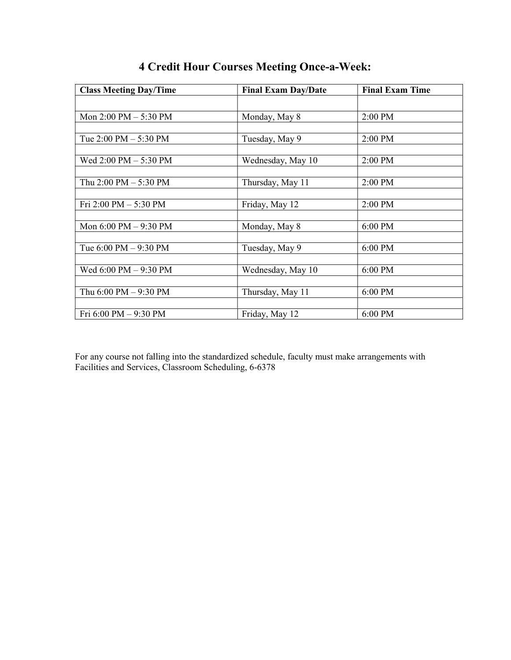| <b>Class Meeting Day/Time</b>           | <b>Final Exam Day/Date</b> | <b>Final Exam Time</b> |
|-----------------------------------------|----------------------------|------------------------|
|                                         |                            |                        |
| Mon 2:00 PM - 5:30 PM                   | Monday, May 8              | 2:00 PM                |
|                                         |                            |                        |
| Tue $2:00 \text{ PM} - 5:30 \text{ PM}$ | Tuesday, May 9             | 2:00 PM                |
|                                         |                            |                        |
| Wed 2:00 PM - 5:30 PM                   | Wednesday, May 10          | 2:00 PM                |
|                                         |                            |                        |
| Thu $2:00 \text{ PM} - 5:30 \text{ PM}$ | Thursday, May 11           | 2:00 PM                |
|                                         |                            |                        |
| Fri 2:00 PM - 5:30 PM                   | Friday, May 12             | 2:00 PM                |
|                                         |                            |                        |
| Mon 6:00 PM - 9:30 PM                   | Monday, May 8              | 6:00 PM                |
|                                         |                            |                        |
| Tue $6:00 \text{ PM} - 9:30 \text{ PM}$ | Tuesday, May 9             | 6:00 PM                |
|                                         |                            |                        |
| Wed 6:00 PM - 9:30 PM                   | Wednesday, May 10          | 6:00 PM                |
|                                         |                            |                        |
| Thu $6:00$ PM $-9:30$ PM                | Thursday, May 11           | 6:00 PM                |
|                                         |                            |                        |
| Fri 6:00 PM - 9:30 PM                   | Friday, May 12             | 6:00 PM                |

# 4 Credit Hour Courses Meeting Once-a-Week: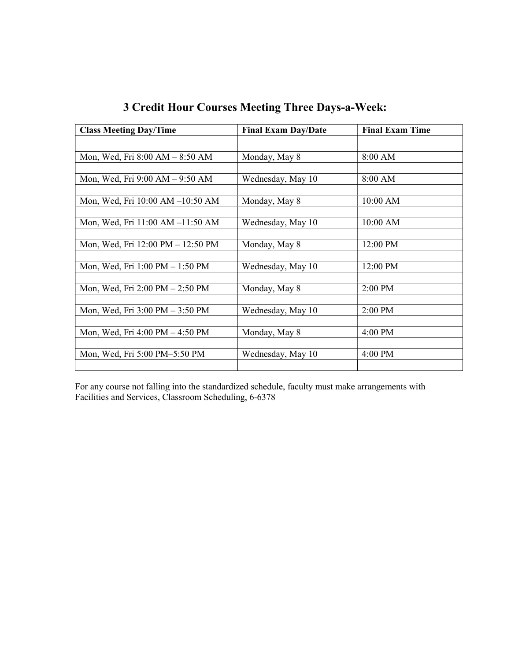| <b>Class Meeting Day/Time</b>                     | <b>Final Exam Day/Date</b> | <b>Final Exam Time</b> |
|---------------------------------------------------|----------------------------|------------------------|
|                                                   |                            |                        |
| Mon, Wed, Fri 8:00 AM - 8:50 AM                   | Monday, May 8              | 8:00 AM                |
|                                                   |                            |                        |
| Mon, Wed, Fri 9:00 AM – 9:50 AM                   | Wednesday, May 10          | 8:00 AM                |
|                                                   |                            |                        |
| Mon, Wed, Fri 10:00 AM -10:50 AM                  | Monday, May 8              | 10:00 AM               |
|                                                   |                            |                        |
| Mon, Wed, Fri 11:00 AM -11:50 AM                  | Wednesday, May 10          | 10:00 AM               |
|                                                   |                            |                        |
| Mon, Wed, Fri 12:00 PM - 12:50 PM                 | Monday, May 8              | 12:00 PM               |
|                                                   |                            |                        |
| Mon, Wed, Fri 1:00 PM - 1:50 PM                   | Wednesday, May 10          | 12:00 PM               |
|                                                   |                            |                        |
| Mon, Wed, Fri 2:00 PM - 2:50 PM                   | Monday, May 8              | 2:00 PM                |
|                                                   |                            |                        |
| Mon, Wed, Fri $3:00 \text{ PM} - 3:50 \text{ PM}$ | Wednesday, May 10          | $2:00$ PM              |
|                                                   |                            |                        |
| Mon, Wed, Fri 4:00 PM - 4:50 PM                   | Monday, May 8              | 4:00 PM                |
|                                                   |                            |                        |
| Mon, Wed, Fri 5:00 PM-5:50 PM                     | Wednesday, May 10          | 4:00 PM                |
|                                                   |                            |                        |

|  |  | <b>3 Credit Hour Courses Meeting Three Days-a-Week:</b> |  |  |
|--|--|---------------------------------------------------------|--|--|
|  |  |                                                         |  |  |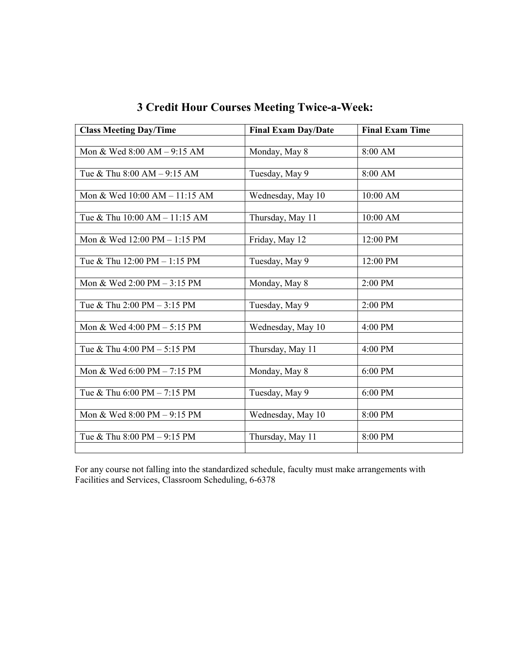| <b>Class Meeting Day/Time</b>                 | <b>Final Exam Day/Date</b> | <b>Final Exam Time</b> |
|-----------------------------------------------|----------------------------|------------------------|
|                                               |                            |                        |
| Mon & Wed 8:00 AM - 9:15 AM                   | Monday, May 8              | 8:00 AM                |
|                                               |                            |                        |
| Tue & Thu 8:00 AM - 9:15 AM                   | Tuesday, May 9             | 8:00 AM                |
|                                               |                            |                        |
| Mon & Wed 10:00 AM - 11:15 AM                 | Wednesday, May 10          | 10:00 AM               |
|                                               |                            |                        |
| Tue & Thu 10:00 AM - 11:15 AM                 | Thursday, May 11           | 10:00 AM               |
|                                               |                            |                        |
| Mon & Wed 12:00 PM - 1:15 PM                  | Friday, May 12             | 12:00 PM               |
|                                               |                            |                        |
| Tue & Thu 12:00 PM - 1:15 PM                  | Tuesday, May 9             | 12:00 PM               |
| Mon & Wed 2:00 PM - 3:15 PM                   |                            | 2:00 PM                |
|                                               | Monday, May 8              |                        |
| Tue & Thu 2:00 PM - 3:15 PM                   | Tuesday, May 9             | 2:00 PM                |
|                                               |                            |                        |
| Mon & Wed $4:00 \text{ PM} - 5:15 \text{ PM}$ | Wednesday, May 10          | 4:00 PM                |
|                                               |                            |                        |
| Tue & Thu 4:00 PM - 5:15 PM                   | Thursday, May 11           | 4:00 PM                |
|                                               |                            |                        |
| Mon & Wed 6:00 PM - 7:15 PM                   | Monday, May 8              | 6:00 PM                |
|                                               |                            |                        |
| Tue & Thu 6:00 PM - 7:15 PM                   | Tuesday, May 9             | 6:00 PM                |
|                                               |                            |                        |
| Mon & Wed 8:00 PM - 9:15 PM                   | Wednesday, May 10          | 8:00 PM                |
|                                               |                            |                        |
| Tue & Thu 8:00 PM - 9:15 PM                   | Thursday, May 11           | 8:00 PM                |
|                                               |                            |                        |

3 Credit Hour Courses Meeting Twice-a-Week: